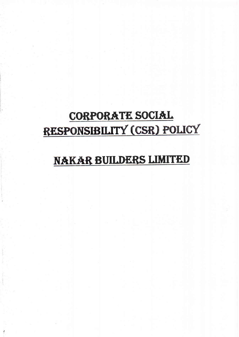# CORPORATE SOCIAL RESPONSIBILITY (CSR) POLICY

## NAKAR BUILDERS LIMITED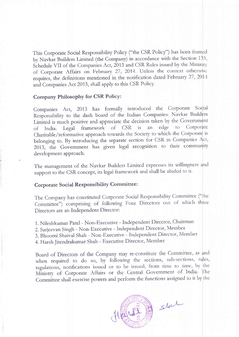This Corporate Social Responsibility Policy ("the CSR Policy") has been framed by Navkar Builders Limited (the Company) in accordance with the Section <sup>1</sup> Schedule VII of the Companies Act, 2013 and CSR Rules issued by the Ministry of Corporate Affairs on February 27, 2014. Unless the context otherwise requires, the definitions mentioned in the notification dated February 27, 2014 and Companies Act 2013, shall apply to this CSR Policy.

#### Company Philosophy for CSR Policy:

Companies Act, 2013 has formally introduced the Corporate Sodial Responsibility to the dash board of the Indian Companies. Navkar Builders Limited is much positive and appreciate the decision taken by the Government of India. Legal framework of CSR is an edge to Corporate Charitable/reformative approach towards the Society to which the Corporate belonging to. By introducing the separate section for CSR in Companies Act, 2013, the Government has given legal recognition to their community development approach.

The management of the Navkar Builders Limited expresses its willingness and support to the CSR concept, its legal framework and shall be abided to it.

#### Corporate Social Responsibility Committee :

The Company has constituted Corporate Social Responsibility Committee ("the Committee") comprising of following Four Directors out of which three Directors are an Independent Director

1. Nileshkumar Patel - Non-Executive - Independent Director, Chaifman

2. Sarjeevan Singh - Non-Executive - Independent Director, Member

3. Bhoomi Shaival Shah - Non-Executive - Independent Director, Nlember

4. Harsh Jitendrakumar Shah - Executive Director, Member

Board of Directors of the Company may re-constitute the Committee, as and when required to do so, by following the sections, sub-sections, rules, regulations, notifications issued or to be issued, from time to time, by the Ministry of Corporate Affairs or the Central Government of India. The Committee shall exercise powers and perform the functions assigned to it by the

Slat<br>1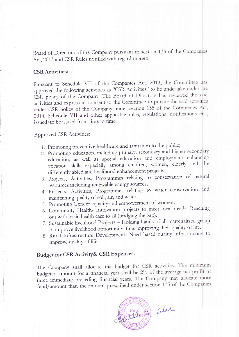Board of Directors of the Company pursuant to section 135 of the Companies Act, 2013 and CSR Rules notified with regard thereto.

#### **CSR Activities:**

Pursuant to Schedule VII of the Companies Act, 2013, the Committee has approved the following activities as "CSR Activities" to be undertake under the CSR policy of the Company. The Board of Directors has reviewed the said activities and express its consent to the Committee to pursue the said activities under CSR policy of the Company under section 135 of the Companies Act, 2014, Schedule VII and other applicable rules, regulations, notifications etc., issued/to be issued from time to time.

**Approved CSR Activities:** 

- 1. Promoting preventive healthcare and sanitation to the public;
- 2. Promoting education, including primary, secondary and higher secondary education, as well as special education and employment enhancing vocation skills especially among children, women, elderly and the differently abled and livelihood enhancement projects;
- 3. Projects, Activities, Programmes relating to conservation of natural resources including renewable energy sources;
- 4. Projects, Activities, Programmes relating to water conservation and maintaining quality of soil, air, and water;
- 5. Promoting Gender equality and empowerment of women;
- 6. Community Health- Innovation projects to meet local needs. Reaching out with basic health care to all (bridging the gap).
- 7. Sustainable livelihood Projects Holding hands of all marginalized group to improve livelihood opportunity, thus improving their quality of life.
- 8. Rural Infrastructure Development- Need based quality infrastructure to improve quality of life.

### Budget for CSR Activity& CSR Expenses:

The Company shall allocate the budget for CSR activities. The minimum budgeted amount for a financial year shall be 2% of the average net profit of three immediate preceding financial years. The Company may allocate more fund/amount than the amount prescribed under section 135 of the Companies

Reg. J. Sler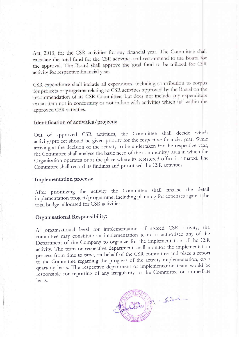Act, 2013, for the CSR activities for any financial year. The Committee shall calculate the total fund for the CSR activities and recommend to the Board for the approval. The Board shall approve the total fund to be utilized for CSR activity for respective financial year.

CSR expenditure shall include all expenditure including contribution to corpus for projects or programs relating to CSR activities approved by the Board on the recommendation of its CSR Committee, but does not include any expenditure on an item not in conformity or not in line with activities which fall within the approved CSR activities.

#### Identification of activities/projects:

Out of approved CSR activities, the Committee shall decide which activity/project should be given priority for the respective financial year. While arriving at the decision of the activity to be undertaken for the respective year, the Committee shall analyse the basic need of the community/ area in which the Organisation operates or at the place where its registered office is situated. The Committee shall record its findings and prioritised the CSR activities.

#### Implementation process:

After prioritizing the activity the Committee shall finalise the detail implementation project/programme, including planning for expenses against the total budget allocated for CSR activities.

#### Organisational Responsibility:

At organisational level fot implementation of agreed CSB activity, the committee may constitute an implementation team or authorised any of the Department of the Company to organize for the implementation of the CSR activity. The team or respective department shall monitor the implementation process from time to time, on behalf of the CSR committee and place a report to the Committee regarding the progress of the activity implementation, on a quarterly basis. The respective department or implementation team would be responsible for reporting of any irregularity to the Committee on immediate basis.